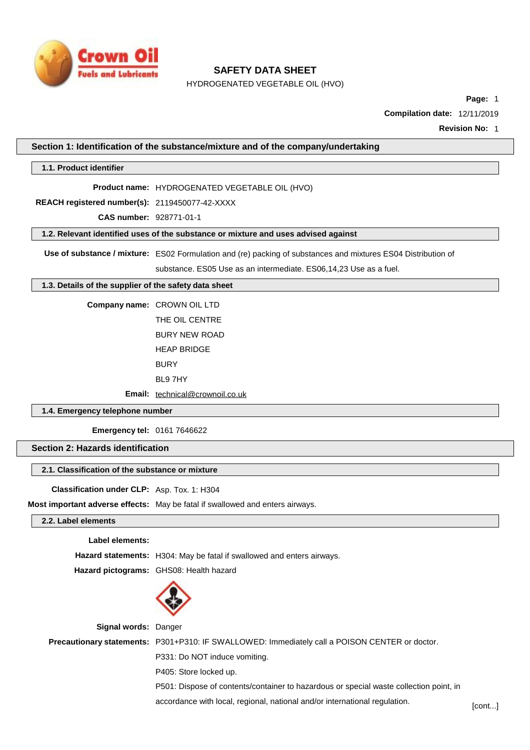

HYDROGENATED VEGETABLE OIL (HVO)

**Page:** 1

**Compilation date:** 12/11/2019

**Revision No:** 1

## **Section 1: Identification of the substance/mixture and of the company/undertaking**

**1.1. Product identifier**

**Product name:** HYDROGENATED VEGETABLE OIL (HVO)

**REACH registered number(s):** 2119450077-42-XXXX

**CAS number:** 928771-01-1

**1.2. Relevant identified uses of the substance or mixture and uses advised against**

**Use of substance / mixture:** ES02 Formulation and (re) packing of substances and mixtures ES04 Distribution of

substance. ES05 Use as an intermediate. ES06,14,23 Use as a fuel.

#### **1.3. Details of the supplier of the safety data sheet**

**Company name:** CROWN OIL LTD THE OIL CENTRE BURY NEW ROAD HEAP BRIDGE BURY

BL9 7HY

**Email:** [technical@crownoil.co.uk](mailto:technical@crownoil.co.uk)

## **1.4. Emergency telephone number**

**Emergency tel:** 0161 7646622

## **Section 2: Hazards identification**

## **2.1. Classification of the substance or mixture**

**Classification under CLP:** Asp. Tox. 1: H304

**Most important adverse effects:** May be fatal if swallowed and enters airways.

## **2.2. Label elements**

**Label elements:**

**Hazard statements:** H304: May be fatal if swallowed and enters airways.

**Hazard pictograms:** GHS08: Health hazard



**Signal words:** Danger **Precautionary statements:** P301+P310: IF SWALLOWED: Immediately call a POISON CENTER or doctor. P331: Do NOT induce vomiting. P405: Store locked up. P501: Dispose of contents/container to hazardous or special waste collection point, in accordance with local, regional, national and/or international regulation. [cont...]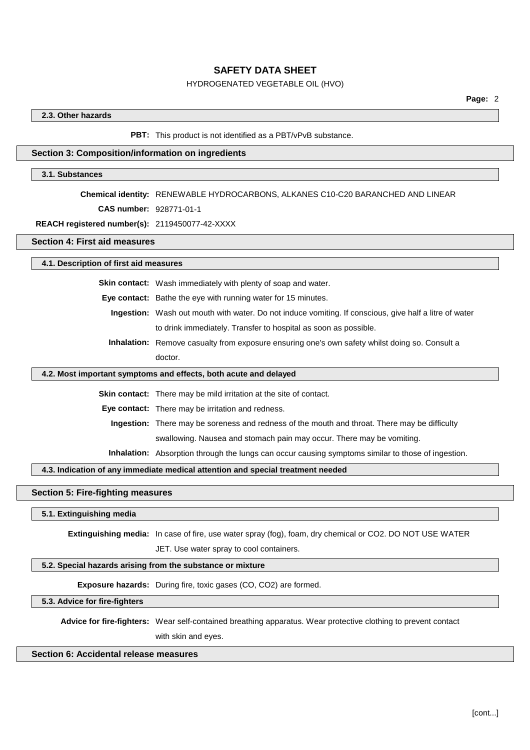## HYDROGENATED VEGETABLE OIL (HVO)

## **2.3. Other hazards**

#### **PBT:** This product is not identified as a PBT/vPvB substance.

## **Section 3: Composition/information on ingredients**

#### **3.1. Substances**

#### **Chemical identity:** RENEWABLE HYDROCARBONS, ALKANES C10-C20 BARANCHED AND LINEAR

**CAS number:** 928771-01-1

#### **REACH registered number(s):** 2119450077-42-XXXX

#### **Section 4: First aid measures**

**4.1. Description of first aid measures**

**Skin contact:** Wash immediately with plenty of soap and water.

**Eye contact:** Bathe the eye with running water for 15 minutes.

- **Ingestion:** Wash out mouth with water. Do not induce vomiting. If conscious, give half a litre of water to drink immediately. Transfer to hospital as soon as possible.
- **Inhalation:** Remove casualty from exposure ensuring one's own safety whilst doing so. Consult a doctor.

#### **4.2. Most important symptoms and effects, both acute and delayed**

**Skin contact:** There may be mild irritation at the site of contact.

**Eye contact:** There may be irritation and redness.

**Ingestion:** There may be soreness and redness of the mouth and throat. There may be difficulty swallowing. Nausea and stomach pain may occur. There may be vomiting.

**Inhalation:** Absorption through the lungs can occur causing symptoms similar to those of ingestion.

#### **4.3. Indication of any immediate medical attention and special treatment needed**

## **Section 5: Fire-fighting measures**

#### **5.1. Extinguishing media**

**Extinguishing media:** In case of fire, use water spray (fog), foam, dry chemical or CO2. DO NOT USE WATER JET. Use water spray to cool containers.

## **5.2. Special hazards arising from the substance or mixture**

**Exposure hazards:** During fire, toxic gases (CO, CO2) are formed.

#### **5.3. Advice for fire-fighters**

**Advice for fire-fighters:** Wear self-contained breathing apparatus. Wear protective clothing to prevent contact with skin and eyes.

## **Section 6: Accidental release measures**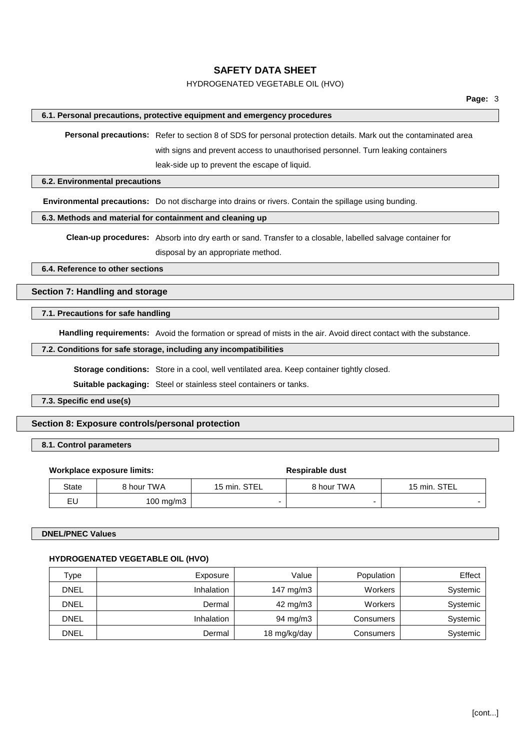## HYDROGENATED VEGETABLE OIL (HVO)

## **6.1. Personal precautions, protective equipment and emergency procedures**

**Personal precautions:** Refer to section 8 of SDS for personal protection details. Mark out the contaminated area with signs and prevent access to unauthorised personnel. Turn leaking containers leak-side up to prevent the escape of liquid.

#### **6.2. Environmental precautions**

**Environmental precautions:** Do not discharge into drains or rivers. Contain the spillage using bunding.

#### **6.3. Methods and material for containment and cleaning up**

**Clean-up procedures:** Absorb into dry earth or sand. Transfer to a closable, labelled salvage container for disposal by an appropriate method.

**6.4. Reference to other sections**

**Section 7: Handling and storage**

## **7.1. Precautions for safe handling**

**Handling requirements:** Avoid the formation or spread of mists in the air. Avoid direct contact with the substance.

#### **7.2. Conditions for safe storage, including any incompatibilities**

**Storage conditions:** Store in a cool, well ventilated area. Keep container tightly closed.

**Suitable packaging:** Steel or stainless steel containers or tanks.

**7.3. Specific end use(s)**

## **Section 8: Exposure controls/personal protection**

## **8.1. Control parameters**

#### **Workplace exposure limits:**  $\qquad \qquad$  **Respirable** dust

# State | 8 hour TWA | 15 min. STEL | 8 hour TWA | 15 min. STEL EU 100 mg/m3 - - -

## **DNEL/PNEC Values**

## **HYDROGENATED VEGETABLE OIL (HVO)**

| Type        | Exposure   | Value        | Population | Effect   |
|-------------|------------|--------------|------------|----------|
| <b>DNEL</b> | Inhalation | 147 mg/m3    | Workers    | Systemic |
| <b>DNEL</b> | Dermal     | 42 mg/m3     | Workers    | Systemic |
| <b>DNEL</b> | Inhalation | 94 mg/m3     | Consumers  | Systemic |
| <b>DNEL</b> | Dermal     | 18 mg/kg/day | Consumers  | Systemic |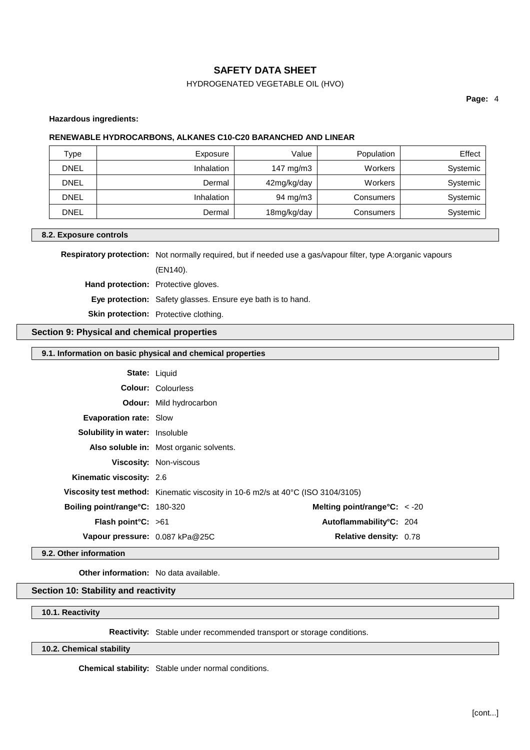## HYDROGENATED VEGETABLE OIL (HVO)

**Page:** 4

#### **Hazardous ingredients:**

## **RENEWABLE HYDROCARBONS, ALKANES C10-C20 BARANCHED AND LINEAR**

| Type        | Exposure          | Value       | Population | Effect   |
|-------------|-------------------|-------------|------------|----------|
| <b>DNEL</b> | <b>Inhalation</b> | 147 mg/m3   | Workers    | Systemic |
| <b>DNEL</b> | Dermal            | 42mg/kg/day | Workers    | Systemic |
| <b>DNEL</b> | <b>Inhalation</b> | 94 mg/m3    | Consumers  | Systemic |
| <b>DNEL</b> | Dermal            | 18mg/kg/day | Consumers  | Systemic |

## **8.2. Exposure controls**

**Respiratory protection:** Not normally required, but if needed use a gas/vapour filter, type A:organic vapours

(EN140).

**Hand protection:** Protective gloves.

**Eye protection:** Safety glasses. Ensure eye bath is to hand.

**Skin protection:** Protective clothing.

## **Section 9: Physical and chemical properties**

## **9.1. Information on basic physical and chemical properties**

| <b>State: Liquid</b>                   |                                                                                 |                                |  |
|----------------------------------------|---------------------------------------------------------------------------------|--------------------------------|--|
|                                        | <b>Colour: Colourless</b>                                                       |                                |  |
|                                        | <b>Odour:</b> Mild hydrocarbon                                                  |                                |  |
| <b>Evaporation rate: Slow</b>          |                                                                                 |                                |  |
| <b>Solubility in water:</b> Insoluble  |                                                                                 |                                |  |
|                                        | Also soluble in: Most organic solvents.                                         |                                |  |
|                                        | Viscosity: Non-viscous                                                          |                                |  |
| Kinematic viscosity: 2.6               |                                                                                 |                                |  |
|                                        | Viscosity test method: Kinematic viscosity in 10-6 m2/s at 40°C (ISO 3104/3105) |                                |  |
| <b>Boiling point/range °C: 180-320</b> |                                                                                 | Melting point/range $C: < -20$ |  |
| <b>Flash point °C:</b> $>61$           |                                                                                 | Autoflammability°C: 204        |  |
| Vapour pressure: 0.087 kPa@25C         |                                                                                 | <b>Relative density: 0.78</b>  |  |

## **9.2. Other information**

**Other information:** No data available.

# **Section 10: Stability and reactivity**

**10.1. Reactivity**

**Reactivity:** Stable under recommended transport or storage conditions.

## **10.2. Chemical stability**

**Chemical stability:** Stable under normal conditions.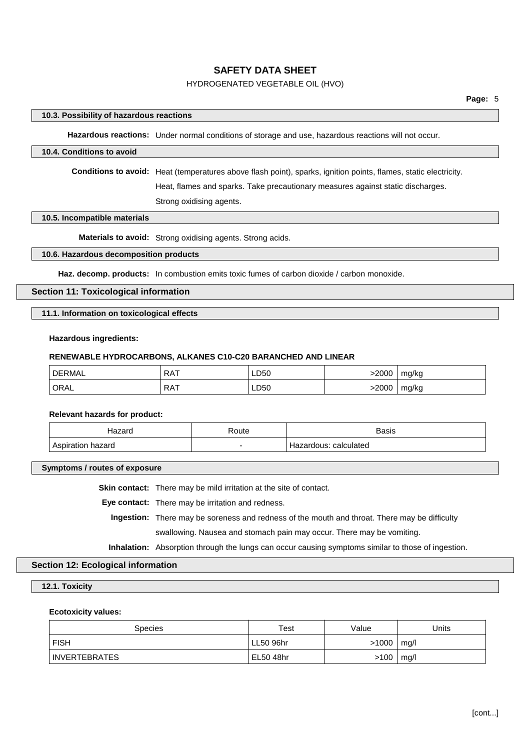## HYDROGENATED VEGETABLE OIL (HVO)

#### **10.3. Possibility of hazardous reactions**

**Hazardous reactions:** Under normal conditions of storage and use, hazardous reactions will not occur.

#### **10.4. Conditions to avoid**

**Conditions to avoid:** Heat (temperatures above flash point), sparks, ignition points, flames, static electricity.

Heat, flames and sparks. Take precautionary measures against static discharges.

Strong oxidising agents.

#### **10.5. Incompatible materials**

**Materials to avoid:** Strong oxidising agents. Strong acids.

#### **10.6. Hazardous decomposition products**

**Haz. decomp. products:** In combustion emits toxic fumes of carbon dioxide / carbon monoxide.

#### **Section 11: Toxicological information**

**11.1. Information on toxicological effects**

#### **Hazardous ingredients:**

#### **RENEWABLE HYDROCARBONS, ALKANES C10-C20 BARANCHED AND LINEAR**

| ' DERMAL | <b>RAT</b> | LD50 | 2000- | mg/kg |
|----------|------------|------|-------|-------|
| ' ORAL   | <b>RAT</b> | LD50 | 2000> | mg/kg |

#### **Relevant hazards for product:**

| $  -$<br>. | Route<br>. | <b>Basis</b>       |
|------------|------------|--------------------|
|            | -          | calculated<br>aus. |

**Symptoms / routes of exposure**

**Skin contact:** There may be mild irritation at the site of contact.

**Eye contact:** There may be irritation and redness.

**Ingestion:** There may be soreness and redness of the mouth and throat. There may be difficulty swallowing. Nausea and stomach pain may occur. There may be vomiting.

**Inhalation:** Absorption through the lungs can occur causing symptoms similar to those of ingestion.

## **Section 12: Ecological information**

#### **12.1. Toxicity**

#### **Ecotoxicity values:**

| <b>Species</b> | Test      | Value | Units |
|----------------|-----------|-------|-------|
| <b>FISH</b>    | LL50 96hr | >1000 | mg/l  |
| INVERTEBRATES  | EL50 48hr | >100  | mg/l  |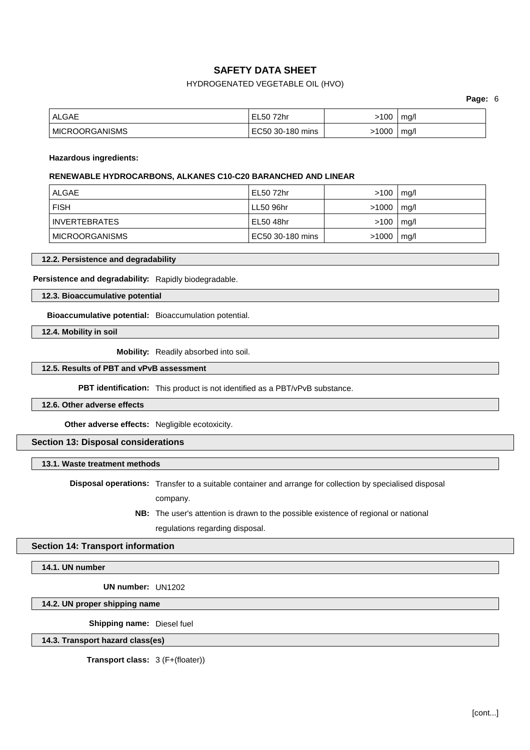## HYDROGENATED VEGETABLE OIL (HVO)

**Page:** 6

| ALGAE            | EL50 72hr        | 100  | mq/l |
|------------------|------------------|------|------|
| ∣ MICROORGANISMS | EC50 30-180 mins | 1000 | mq/l |

#### **Hazardous ingredients:**

#### **RENEWABLE HYDROCARBONS, ALKANES C10-C20 BARANCHED AND LINEAR**

| ALGAE                 | EL50 72hr        | >100  | mg/l |
|-----------------------|------------------|-------|------|
| <b>FISH</b>           | LL50 96hr        | >1000 | mq/l |
| <b>INVERTEBRATES</b>  | EL50 48hr        | >100  | mg/l |
| <b>MICROORGANISMS</b> | EC50 30-180 mins | >1000 | mg/l |

## **12.2. Persistence and degradability**

**Persistence and degradability:** Rapidly biodegradable.

## **12.3. Bioaccumulative potential**

**Bioaccumulative potential:** Bioaccumulation potential.

**12.4. Mobility in soil**

**Mobility:** Readily absorbed into soil.

#### **12.5. Results of PBT and vPvB assessment**

**PBT identification:** This product is not identified as a PBT/vPvB substance.

**12.6. Other adverse effects**

**Other adverse effects:** Negligible ecotoxicity.

## **Section 13: Disposal considerations**

## **13.1. Waste treatment methods**

**Disposal operations:** Transfer to a suitable container and arrange for collection by specialised disposal

company.

**NB:** The user's attention is drawn to the possible existence of regional or national regulations regarding disposal.

## **Section 14: Transport information**

**14.1. UN number**

**UN number:** UN1202

**14.2. UN proper shipping name**

**Shipping name:** Diesel fuel

**14.3. Transport hazard class(es)**

**Transport class:** 3 (F+(floater))